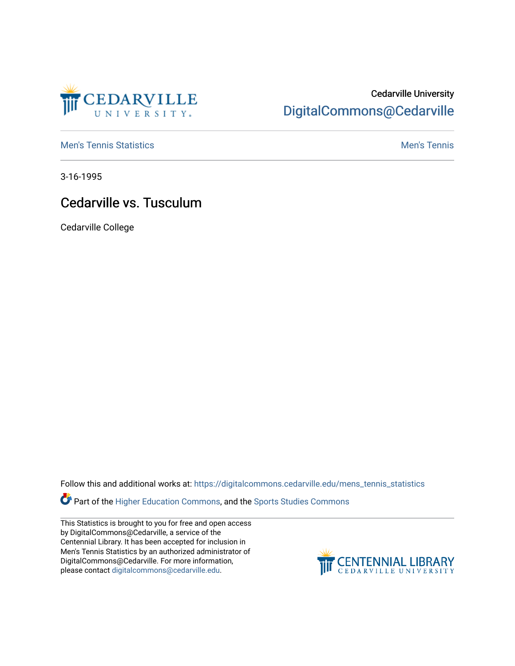

## Cedarville University [DigitalCommons@Cedarville](https://digitalcommons.cedarville.edu/)

**[Men's Tennis Statistics](https://digitalcommons.cedarville.edu/mens_tennis_statistics) Mental According to the Control of Control According Mental Men's Tennis** 

3-16-1995

## Cedarville vs. Tusculum

Cedarville College

Follow this and additional works at: [https://digitalcommons.cedarville.edu/mens\\_tennis\\_statistics](https://digitalcommons.cedarville.edu/mens_tennis_statistics?utm_source=digitalcommons.cedarville.edu%2Fmens_tennis_statistics%2F339&utm_medium=PDF&utm_campaign=PDFCoverPages)

**Part of the [Higher Education Commons,](http://network.bepress.com/hgg/discipline/1245?utm_source=digitalcommons.cedarville.edu%2Fmens_tennis_statistics%2F339&utm_medium=PDF&utm_campaign=PDFCoverPages) and the Sports Studies Commons** 

This Statistics is brought to you for free and open access by DigitalCommons@Cedarville, a service of the Centennial Library. It has been accepted for inclusion in Men's Tennis Statistics by an authorized administrator of DigitalCommons@Cedarville. For more information, please contact [digitalcommons@cedarville.edu](mailto:digitalcommons@cedarville.edu).